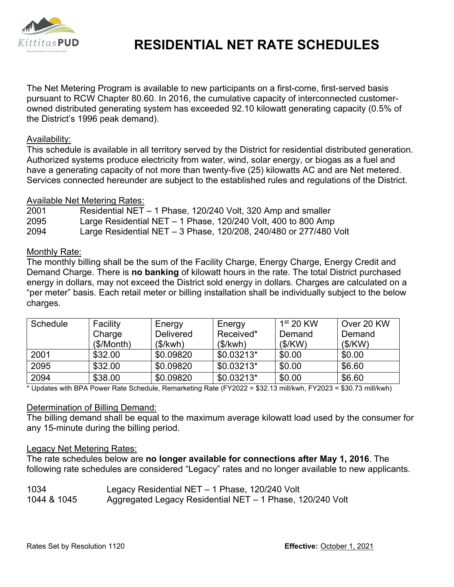

# **RESIDENTIAL NET RATE SCHEDULES**

The Net Metering Program is available to new participants on a first-come, first-served basis pursuant to RCW Chapter 80.60. In 2016, the cumulative capacity of interconnected customerowned distributed generating system has exceeded 92.10 kilowatt generating capacity (0.5% of the District's 1996 peak demand).

### Availability:

This schedule is available in all territory served by the District for residential distributed generation. Authorized systems produce electricity from water, wind, solar energy, or biogas as a fuel and have a generating capacity of not more than twenty-five (25) kilowatts AC and are Net metered. Services connected hereunder are subject to the established rules and regulations of the District.

# Available Net Metering Rates:

| 2001 | Residential NET – 1 Phase, 120/240 Volt, 320 Amp and smaller      |
|------|-------------------------------------------------------------------|
| 2095 | Large Residential NET $-$ 1 Phase, 120/240 Volt, 400 to 800 Amp   |
| 2094 | Large Residential NET – 3 Phase, 120/208, 240/480 or 277/480 Volt |

# Monthly Rate:

The monthly billing shall be the sum of the Facility Charge, Energy Charge, Energy Credit and Demand Charge. There is **no banking** of kilowatt hours in the rate. The total District purchased energy in dollars, may not exceed the District sold energy in dollars. Charges are calculated on a "per meter" basis. Each retail meter or billing installation shall be individually subject to the below charges.

| Schedule | Facility   | Energy           | Energy      | $1st$ 20 KW | Over 20 KW |
|----------|------------|------------------|-------------|-------------|------------|
|          | Charge     | <b>Delivered</b> | Received*   | Demand      | Demand     |
|          | (\$/Month) | (\$/kwh)         | (\$/kwh)    | (S/KW)      | (S/KW)     |
| 2001     | \$32.00    | \$0.09820        | $$0.03213*$ | \$0.00      | \$0.00     |
| 2095     | \$32.00    | \$0.09820        | $$0.03213*$ | \$0.00      | \$6.60     |
| 2094     | \$38.00    | \$0.09820        | $$0.03213*$ | \$0.00      | \$6.60     |

\* Updates with BPA Power Rate Schedule, Remarketing Rate (FY2022 = \$32.13 mill/kwh, FY2023 = \$30.73 mill/kwh)

# Determination of Billing Demand:

The billing demand shall be equal to the maximum average kilowatt load used by the consumer for any 15-minute during the billing period.

#### Legacy Net Metering Rates:

The rate schedules below are **no longer available for connections after May 1, 2016**. The following rate schedules are considered "Legacy" rates and no longer available to new applicants.

# 1034 Legacy Residential NET – 1 Phase, 120/240 Volt 1044 & 1045 Aggregated Legacy Residential NET – 1 Phase, 120/240 Volt